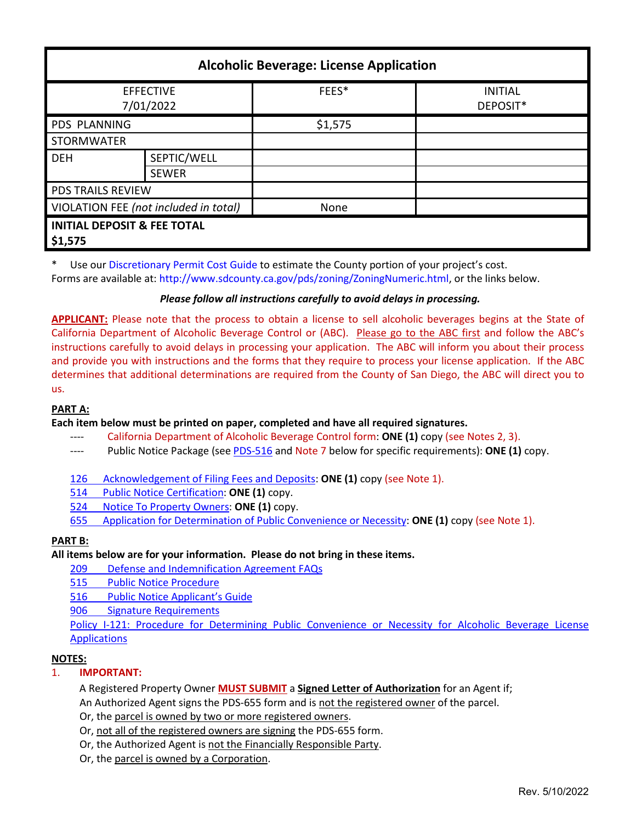| <b>Alcoholic Beverage: License Application</b>    |              |         |                            |  |
|---------------------------------------------------|--------------|---------|----------------------------|--|
| <b>EFFECTIVE</b><br>7/01/2022                     |              | FEES*   | <b>INITIAL</b><br>DEPOSIT* |  |
| <b>PDS PLANNING</b>                               |              | \$1,575 |                            |  |
| <b>STORMWATER</b>                                 |              |         |                            |  |
| <b>DEH</b>                                        | SEPTIC/WELL  |         |                            |  |
|                                                   | <b>SEWER</b> |         |                            |  |
| <b>PDS TRAILS REVIEW</b>                          |              |         |                            |  |
| VIOLATION FEE (not included in total)             |              | None    |                            |  |
| <b>INITIAL DEPOSIT &amp; FEE TOTAL</b><br>\$1,575 |              |         |                            |  |

\* Use ou[r Discretionary Permit Cost Guide](http://www.sandiegocounty.gov/content/dam/sdc/pds/docs/Discretionary_Permit_Cost_Guide.xlsx) to estimate the County portion of your project's cost. Forms are available at: [http://www.sdcounty.ca.gov/pds/zoning/ZoningNumeric.html,](http://www.sdcounty.ca.gov/pds/zoning/ZoningNumeric.html) or the links below.

# *Please follow all instructions carefully to avoid delays in processing.*

**APPLICANT:** Please note that the process to obtain a license to sell alcoholic beverages begins at the State of California Department of Alcoholic Beverage Control or (ABC). Please go to the ABC first and follow the ABC's instructions carefully to avoid delays in processing your application. The ABC will inform you about their process and provide you with instructions and the forms that they require to process your license application. If the ABC determines that additional determinations are required from the County of San Diego, the ABC will direct you to us.

# **PART A:**

**Each item below must be printed on paper, completed and have all required signatures.**

- ---- California Department of Alcoholic Beverage Control form: **ONE (1)** copy (see Notes 2, 3).
- ---- Public Notice Package (se[e PDS-516](https://www.sandiegocounty.gov/pds/zoning/formfields/PDS-PLN-516.pdf) and Note 7 below for specific requirements): **ONE (1)** copy.
- [126 Acknowledgement of Filing Fees and Deposits:](http://www.sdcounty.ca.gov/pds/zoning/formfields/PDS-PLN-126.pdf) **ONE (1)** copy (see Note 1).
- 514 [Public Notice Certification:](http://www.sdcounty.ca.gov/pds/zoning/formfields/PDS-PLN-514.pdf) **ONE (1)** copy.
- 524 [Notice To Property Owners:](http://www.sdcounty.ca.gov/pds/zoning/formfields/PDS-PLN-524.pdf) **ONE (1)** copy.
- 655 [Application for Determination of Public Convenience or Necessity:](https://www.sandiegocounty.gov/pds/zoning/formfields/PDS-PLN-655.pdf) **ONE (1)** copy (see Note 1).

# **PART B:**

#### **All items below are for your information. Please do not bring in these items.**

- 209 [Defense and Indemnification Agreement FAQs](http://www.sdcounty.ca.gov/pds/zoning/formfields/PDS-PLN-209.pdf)
- [515 Public Notice Procedure](http://www.sdcounty.ca.gov/pds/zoning/formfields/PDS-PLN-515.pdf)
- [516 Public Notice Applicant's Guide](http://www.sdcounty.ca.gov/pds/zoning/formfields/PDS-PLN-516.pdf)
- 906 [Signature Requirements](http://www.sdcounty.ca.gov/pds/zoning/formfields/PDS-PLN-906.pdf)

[Policy I-121: Procedure for Determining Public Convenience or Necessity for Alcoholic Beverage](http://www.sdcounty.ca.gov/cob/docs/policy/I-121.pdf) License [Applications](http://www.sdcounty.ca.gov/cob/docs/policy/I-121.pdf)

# **NOTES:**

#### 1. **IMPORTANT:**

A Registered Property Owner **MUST SUBMIT** a **Signed Letter of Authorization** for an Agent if;

An Authorized Agent signs the PDS-655 form and is not the registered owner of the parcel.

Or, the parcel is owned by two or more registered owners.

- Or, not all of the registered owners are signing the PDS-655 form.
- Or, the Authorized Agent is not the Financially Responsible Party.
- Or, the parcel is owned by a Corporation.